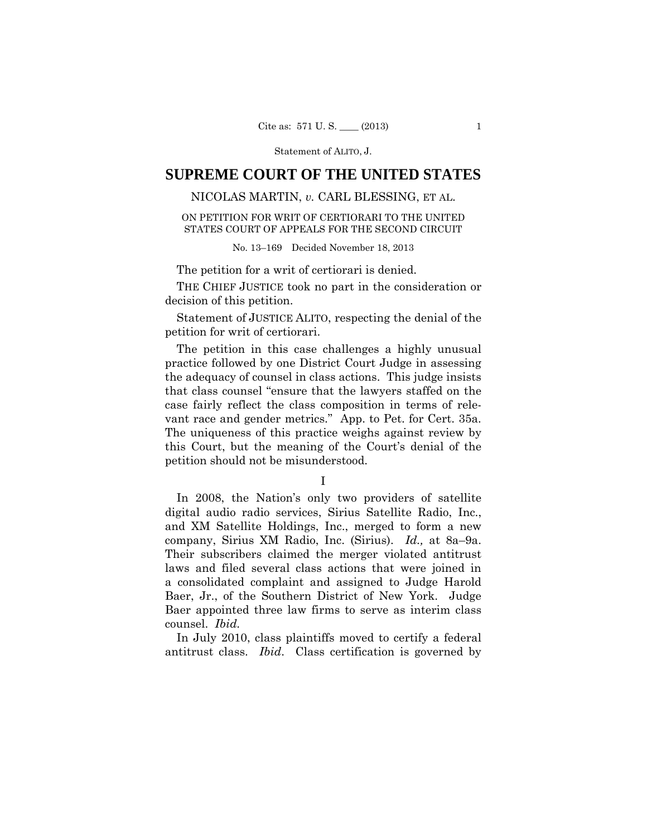# **SUPREME COURT OF THE UNITED STATES**

## NICOLAS MARTIN, *v.* CARL BLESSING, ET AL.

### ON PETITION FOR WRIT OF CERTIORARI TO THE UNITED STATES COURT OF APPEALS FOR THE SECOND CIRCUIT

No. 13–169 Decided November 18, 2013

The petition for a writ of certiorari is denied.

THE CHIEF JUSTICE took no part in the consideration or decision of this petition.

 Statement of JUSTICE ALITO, respecting the denial of the petition for writ of certiorari.

The petition in this case challenges a highly unusual practice followed by one District Court Judge in assessing the adequacy of counsel in class actions. This judge insists that class counsel "ensure that the lawyers staffed on the case fairly reflect the class composition in terms of relevant race and gender metrics." App. to Pet. for Cert. 35a. The uniqueness of this practice weighs against review by this Court, but the meaning of the Court's denial of the petition should not be misunderstood.

I

In 2008, the Nation's only two providers of satellite digital audio radio services, Sirius Satellite Radio, Inc., and XM Satellite Holdings, Inc., merged to form a new company, Sirius XM Radio, Inc. (Sirius). *Id.,* at 8a–9a. Their subscribers claimed the merger violated antitrust laws and filed several class actions that were joined in a consolidated complaint and assigned to Judge Harold Baer, Jr., of the Southern District of New York. Judge Baer appointed three law firms to serve as interim class counsel. *Ibid.* 

In July 2010, class plaintiffs moved to certify a federal antitrust class. *Ibid*. Class certification is governed by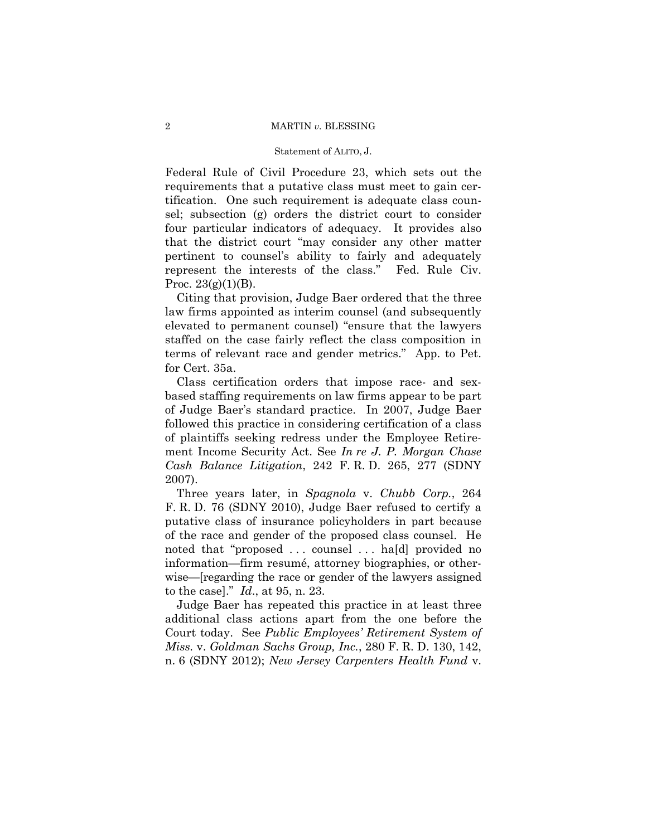### 2 MARTIN *v.* BLESSING

### Statement of ALITO, J.

Federal Rule of Civil Procedure 23, which sets out the requirements that a putative class must meet to gain certification. One such requirement is adequate class counsel; subsection (g) orders the district court to consider four particular indicators of adequacy. It provides also that the district court "may consider any other matter pertinent to counsel's ability to fairly and adequately represent the interests of the class." Fed. Rule Civ. Proc.  $23(g)(1)(B)$ .

Citing that provision, Judge Baer ordered that the three law firms appointed as interim counsel (and subsequently elevated to permanent counsel) "ensure that the lawyers staffed on the case fairly reflect the class composition in terms of relevant race and gender metrics." App. to Pet. for Cert. 35a.

Class certification orders that impose race- and sexbased staffing requirements on law firms appear to be part of Judge Baer's standard practice. In 2007, Judge Baer followed this practice in considering certification of a class of plaintiffs seeking redress under the Employee Retirement Income Security Act. See *In re J. P. Morgan Chase Cash Balance Litigation*, 242 F. R. D. 265, 277 (SDNY 2007).

Three years later, in *Spagnola* v. *Chubb Corp.*, 264 F. R. D. 76 (SDNY 2010), Judge Baer refused to certify a putative class of insurance policyholders in part because of the race and gender of the proposed class counsel. He noted that "proposed . . . counsel . . . ha[d] provided no information—firm resumé, attorney biographies, or otherwise—[regarding the race or gender of the lawyers assigned to the case]." *Id*., at 95, n. 23.

Judge Baer has repeated this practice in at least three additional class actions apart from the one before the Court today. See *Public Employees' Retirement System of Miss.* v. *Goldman Sachs Group, Inc.*, 280 F. R. D. 130, 142, n. 6 (SDNY 2012); *New Jersey Carpenters Health Fund* v.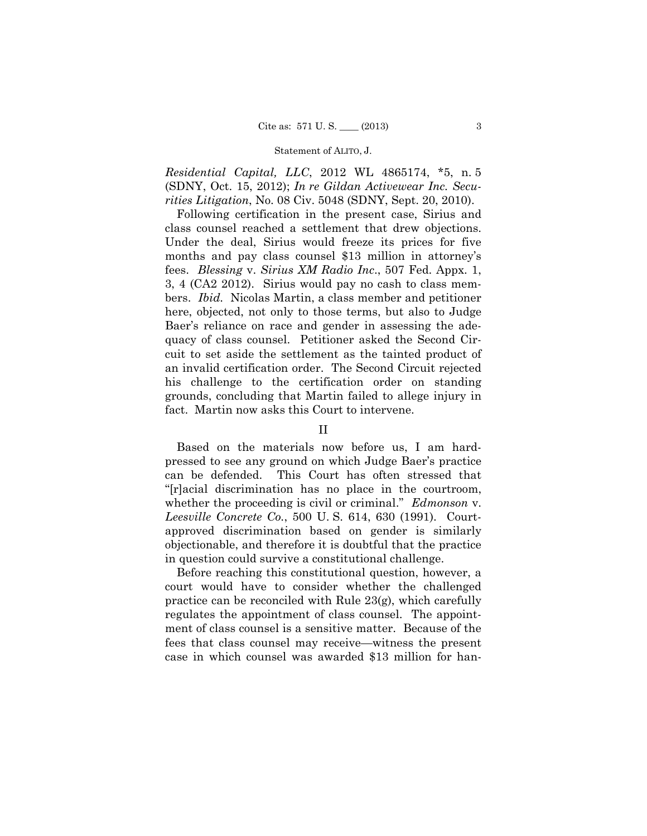*Residential Capital, LLC*, 2012 WL 4865174, \*5, n. 5 (SDNY, Oct. 15, 2012); *In re Gildan Activewear Inc. Securities Litigation*, No. 08 Civ. 5048 (SDNY, Sept. 20, 2010).

Following certification in the present case, Sirius and class counsel reached a settlement that drew objections. Under the deal, Sirius would freeze its prices for five months and pay class counsel \$13 million in attorney's fees. *Blessing* v. *Sirius XM Radio Inc*., 507 Fed. Appx. 1, 3, 4 (CA2 2012). Sirius would pay no cash to class members. *Ibid.* Nicolas Martin, a class member and petitioner here, objected, not only to those terms, but also to Judge Baer's reliance on race and gender in assessing the adequacy of class counsel. Petitioner asked the Second Circuit to set aside the settlement as the tainted product of an invalid certification order. The Second Circuit rejected his challenge to the certification order on standing grounds, concluding that Martin failed to allege injury in fact. Martin now asks this Court to intervene.

### II

Based on the materials now before us, I am hardpressed to see any ground on which Judge Baer's practice can be defended. This Court has often stressed that "[r]acial discrimination has no place in the courtroom, whether the proceeding is civil or criminal." *Edmonson* v. *Leesville Concrete Co.*, 500 U. S. 614, 630 (1991). Courtapproved discrimination based on gender is similarly objectionable, and therefore it is doubtful that the practice in question could survive a constitutional challenge.

Before reaching this constitutional question, however, a court would have to consider whether the challenged practice can be reconciled with Rule 23(g), which carefully regulates the appointment of class counsel. The appointment of class counsel is a sensitive matter. Because of the fees that class counsel may receive—witness the present case in which counsel was awarded \$13 million for han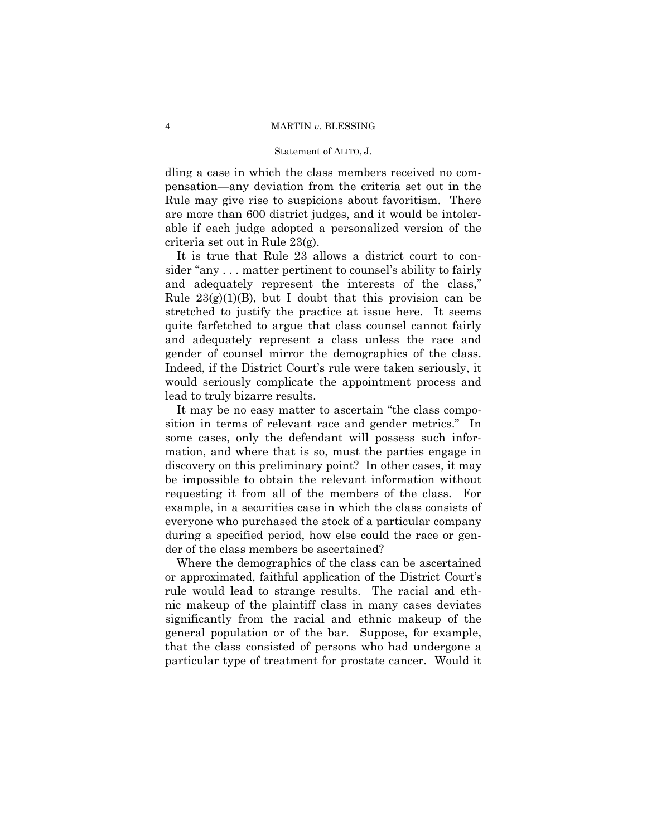dling a case in which the class members received no compensation—any deviation from the criteria set out in the Rule may give rise to suspicions about favoritism. There are more than 600 district judges, and it would be intolerable if each judge adopted a personalized version of the criteria set out in Rule 23(g).

It is true that Rule 23 allows a district court to consider "any . . . matter pertinent to counsel's ability to fairly and adequately represent the interests of the class," Rule  $23(g)(1)(B)$ , but I doubt that this provision can be stretched to justify the practice at issue here. It seems quite farfetched to argue that class counsel cannot fairly and adequately represent a class unless the race and gender of counsel mirror the demographics of the class. Indeed, if the District Court's rule were taken seriously, it would seriously complicate the appointment process and lead to truly bizarre results.

It may be no easy matter to ascertain "the class composition in terms of relevant race and gender metrics." In some cases, only the defendant will possess such information, and where that is so, must the parties engage in discovery on this preliminary point? In other cases, it may be impossible to obtain the relevant information without requesting it from all of the members of the class. For example, in a securities case in which the class consists of everyone who purchased the stock of a particular company during a specified period, how else could the race or gender of the class members be ascertained?

Where the demographics of the class can be ascertained or approximated, faithful application of the District Court's rule would lead to strange results. The racial and ethnic makeup of the plaintiff class in many cases deviates significantly from the racial and ethnic makeup of the general population or of the bar. Suppose, for example, that the class consisted of persons who had undergone a particular type of treatment for prostate cancer. Would it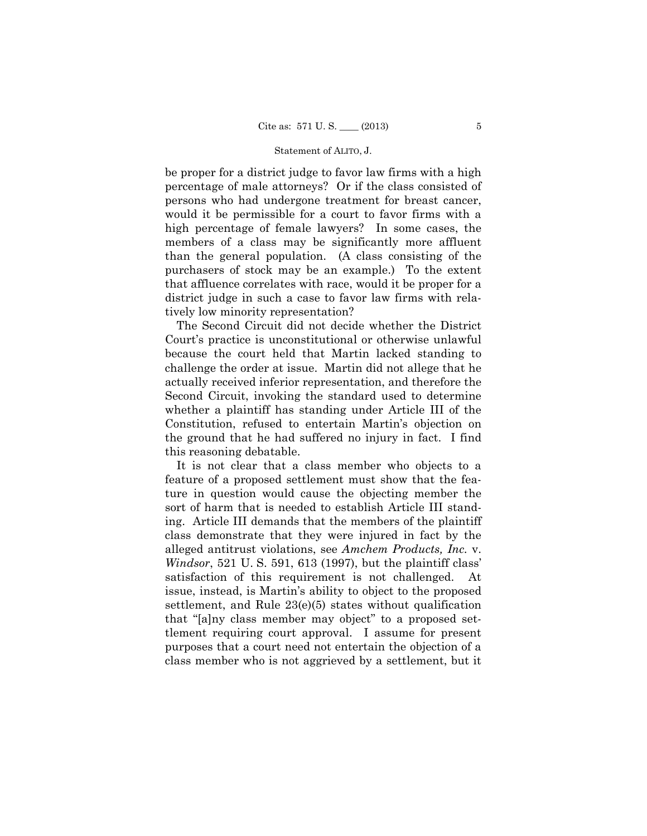be proper for a district judge to favor law firms with a high percentage of male attorneys? Or if the class consisted of persons who had undergone treatment for breast cancer, would it be permissible for a court to favor firms with a high percentage of female lawyers? In some cases, the members of a class may be significantly more affluent than the general population. (A class consisting of the purchasers of stock may be an example.) To the extent that affluence correlates with race, would it be proper for a district judge in such a case to favor law firms with relatively low minority representation?

The Second Circuit did not decide whether the District Court's practice is unconstitutional or otherwise unlawful because the court held that Martin lacked standing to challenge the order at issue. Martin did not allege that he actually received inferior representation, and therefore the Second Circuit, invoking the standard used to determine whether a plaintiff has standing under Article III of the Constitution, refused to entertain Martin's objection on the ground that he had suffered no injury in fact. I find this reasoning debatable.

It is not clear that a class member who objects to a feature of a proposed settlement must show that the feature in question would cause the objecting member the sort of harm that is needed to establish Article III standing. Article III demands that the members of the plaintiff class demonstrate that they were injured in fact by the alleged antitrust violations, see *Amchem Products, Inc.* v. *Windsor*, 521 U. S. 591, 613 (1997), but the plaintiff class' satisfaction of this requirement is not challenged. At issue, instead, is Martin's ability to object to the proposed settlement, and Rule 23(e)(5) states without qualification that "[a]ny class member may object" to a proposed settlement requiring court approval. I assume for present purposes that a court need not entertain the objection of a class member who is not aggrieved by a settlement, but it